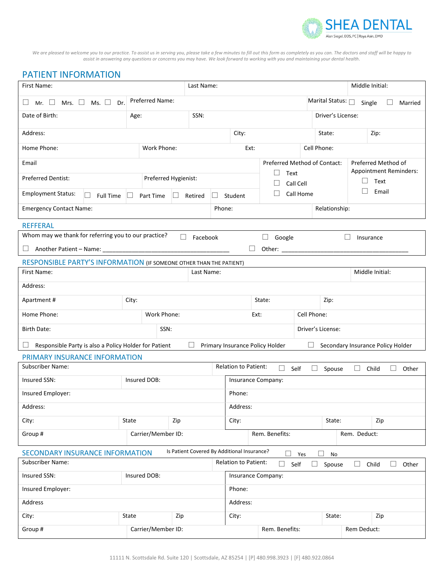

*We are pleased to welcome you to our practice. To assist us in serving you, please take a few minutes to fill out this form as completely as you can. The doctors and staff will be happy to assist in answering any questions or concerns you may have. We look forward to working with you and maintaining your dental health.*

## PATIENT INFORMATION

| First Name:<br>Last Name:                                                                                                   |                           |                      |                              |                             |                                 |                |                        |                                   | Middle Initial:                                      |        |         |
|-----------------------------------------------------------------------------------------------------------------------------|---------------------------|----------------------|------------------------------|-----------------------------|---------------------------------|----------------|------------------------|-----------------------------------|------------------------------------------------------|--------|---------|
| Ms. $\square$<br>Mrs. $\Box$<br>Dr.<br>Mr. $\Box$                                                                           | Preferred Name:           |                      |                              |                             |                                 |                | Marital Status: $\Box$ |                                   | Single                                               |        | Married |
| Date of Birth:                                                                                                              | Age:                      | SSN:                 |                              |                             |                                 |                | Driver's License:      |                                   |                                                      |        |         |
| Address:                                                                                                                    |                           |                      |                              | City:                       |                                 |                | State:<br>Zip:         |                                   |                                                      |        |         |
| Home Phone:                                                                                                                 | Work Phone:               |                      |                              | Ext:                        |                                 |                | Cell Phone:            |                                   |                                                      |        |         |
| Email                                                                                                                       |                           |                      | Preferred Method of Contact: |                             |                                 |                |                        |                                   | Preferred Method of<br><b>Appointment Reminders:</b> |        |         |
| <b>Preferred Dentist:</b>                                                                                                   |                           | Preferred Hygienist: |                              |                             | Text<br>$\Box$<br>Call Cell     |                |                        |                                   | Text                                                 |        |         |
| <b>Employment Status:</b><br><b>Full Time</b>                                                                               | Part Time<br>$\mathbf{L}$ | Retired<br>ш         | Call Home<br>Student<br>ш    |                             |                                 |                |                        |                                   | Email                                                |        |         |
| <b>Emergency Contact Name:</b>                                                                                              |                           |                      |                              | Phone:<br>Relationship:     |                                 |                |                        |                                   |                                                      |        |         |
| <b>REFFERAL</b>                                                                                                             |                           |                      |                              |                             |                                 |                |                        |                                   |                                                      |        |         |
| Whom may we thank for referring you to our practice?                                                                        |                           | Facebook             |                              |                             | Google<br>ш                     |                |                        | ப                                 | Insurance                                            |        |         |
| Another Patient - Name: _<br>ப                                                                                              |                           |                      |                              | □                           | Other: $\overline{\phantom{a}}$ |                |                        |                                   |                                                      |        |         |
| RESPONSIBLE PARTY'S INFORMATION (IF SOMEONE OTHER THAN THE PATIENT)                                                         |                           |                      |                              |                             |                                 |                |                        |                                   |                                                      |        |         |
| First Name:                                                                                                                 |                           | Last Name:           |                              |                             |                                 |                | Middle Initial:        |                                   |                                                      |        |         |
| Address:                                                                                                                    |                           |                      |                              |                             |                                 |                |                        |                                   |                                                      |        |         |
| Apartment#                                                                                                                  | City:                     |                      |                              |                             |                                 | State:<br>Zip: |                        |                                   |                                                      |        |         |
| Home Phone:<br>Work Phone:                                                                                                  |                           |                      | Cell Phone:<br>Ext:          |                             |                                 |                |                        |                                   |                                                      |        |         |
| SSN:<br>Birth Date:                                                                                                         |                           |                      |                              | Driver's License:           |                                 |                |                        |                                   |                                                      |        |         |
| Primary Insurance Policy Holder<br>Responsible Party is also a Policy Holder for Patient<br>⊔                               |                           |                      |                              |                             |                                 |                |                        | Secondary Insurance Policy Holder |                                                      |        |         |
| PRIMARY INSURANCE INFORMATION                                                                                               |                           |                      |                              |                             |                                 |                |                        |                                   |                                                      |        |         |
| <b>Subscriber Name:</b><br><b>Relation to Patient:</b><br>$\Box$<br>$\Box$<br>Self<br>Spouse<br>Child<br>$\sqcup$<br>$\Box$ |                           |                      |                              |                             |                                 | Other          |                        |                                   |                                                      |        |         |
| Insured SSN:<br>Insured DOB:                                                                                                |                           |                      |                              | Insurance Company:          |                                 |                |                        |                                   |                                                      |        |         |
| Insured Employer:                                                                                                           |                           |                      |                              | Phone:                      |                                 |                |                        |                                   |                                                      |        |         |
| Address:                                                                                                                    |                           |                      |                              | Address:                    |                                 |                |                        |                                   |                                                      |        |         |
| City:                                                                                                                       | State                     | Zip                  | City:                        |                             |                                 |                | State:                 | Zip                               |                                                      |        |         |
| Group #                                                                                                                     | Carrier/Member ID:        |                      |                              | Rem. Benefits:              |                                 |                | Rem. Deduct:           |                                   |                                                      |        |         |
| Is Patient Covered By Additional Insurance?<br>SECONDARY INSURANCE INFORMATION<br>П<br>П<br>No<br>Yes                       |                           |                      |                              |                             |                                 |                |                        |                                   |                                                      |        |         |
| <b>Subscriber Name:</b>                                                                                                     |                           |                      |                              | <b>Relation to Patient:</b> | $\Box$<br>Self                  | $\Box$         | Spouse                 | $\Box$                            | Child                                                | $\Box$ | Other   |
| Insured SSN:<br>Insured DOB:                                                                                                |                           |                      |                              | Insurance Company:          |                                 |                |                        |                                   |                                                      |        |         |
| Insured Employer:                                                                                                           |                           |                      |                              | Phone:                      |                                 |                |                        |                                   |                                                      |        |         |
| Address                                                                                                                     |                           |                      |                              | Address:                    |                                 |                |                        |                                   |                                                      |        |         |
| City:                                                                                                                       | State                     | Zip                  | City:<br>State:              |                             |                                 |                | Zip                    |                                   |                                                      |        |         |
| Group #                                                                                                                     | Carrier/Member ID:        |                      |                              |                             | Rem. Benefits:                  |                |                        |                                   | Rem Deduct:                                          |        |         |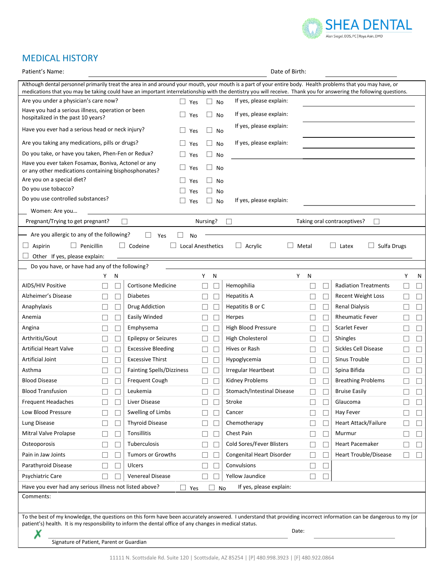

# MEDICAL HISTORY

| Date of Birth:<br>Patient's Name:                                                                                                                                                                                                                                                                                                    |                          |                                            |                          |                                  |                        |                                    |                          |
|--------------------------------------------------------------------------------------------------------------------------------------------------------------------------------------------------------------------------------------------------------------------------------------------------------------------------------------|--------------------------|--------------------------------------------|--------------------------|----------------------------------|------------------------|------------------------------------|--------------------------|
| Although dental personnel primarily treat the area in and around your mouth, your mouth is a part of your entire body. Health problems that you may have, or<br>medications that you may be taking could have an important interrelationship with the dentistry you will receive. Thank you for answering the following questions.   |                          |                                            |                          |                                  |                        |                                    |                          |
| Are you under a physician's care now?                                                                                                                                                                                                                                                                                                |                          | $\Box$ Yes                                 | $\Box$ No                | If yes, please explain:          |                        |                                    |                          |
| Have you had a serious illness, operation or been<br>$\vert$ $\vert$<br>Yes<br>hospitalized in the past 10 years?                                                                                                                                                                                                                    |                          | ш<br>No                                    | If yes, please explain:  |                                  |                        |                                    |                          |
| Have you ever had a serious head or neck injury?                                                                                                                                                                                                                                                                                     |                          | Yes                                        | $\Box$ No                | If yes, please explain:          |                        |                                    |                          |
| Are you taking any medications, pills or drugs?                                                                                                                                                                                                                                                                                      |                          | Yes                                        | $\Box$<br>No             | If yes, please explain:          |                        |                                    |                          |
| Do you take, or have you taken, Phen-Fen or Redux?                                                                                                                                                                                                                                                                                   |                          | Yes                                        | $\Box$<br>No             |                                  |                        |                                    |                          |
| Have you ever taken Fosamax, Boniva, Actonel or any<br>or any other medications containing bisphosphonates?                                                                                                                                                                                                                          |                          | Yes                                        | $\Box$<br>No             |                                  |                        |                                    |                          |
| Are you on a special diet?                                                                                                                                                                                                                                                                                                           |                          | Yes                                        | No                       |                                  |                        |                                    |                          |
| Do you use tobacco?                                                                                                                                                                                                                                                                                                                  |                          | Yes                                        | No                       |                                  |                        |                                    |                          |
| Do you use controlled substances?                                                                                                                                                                                                                                                                                                    |                          | Yes                                        | No<br>$\Box$             | If yes, please explain:          |                        |                                    |                          |
| Women: Are you                                                                                                                                                                                                                                                                                                                       |                          |                                            |                          |                                  |                        |                                    |                          |
| Pregnant/Trying to get pregnant?                                                                                                                                                                                                                                                                                                     |                          |                                            | Nursing?                 |                                  |                        | Taking oral contraceptives?        |                          |
| Are you allergic to any of the following?                                                                                                                                                                                                                                                                                            |                          | Yes<br>No                                  |                          |                                  |                        |                                    |                          |
| Aspirin<br>$\Box$ Penicillin<br>$\Box$                                                                                                                                                                                                                                                                                               |                          | $\Box$ Codeine<br>$\Box$ Local Anesthetics |                          | $\Box$ Acrylic                   | Metal                  | $\Box$ Latex<br>$\Box$ Sulfa Drugs |                          |
| Other If yes, please explain:                                                                                                                                                                                                                                                                                                        |                          |                                            |                          |                                  |                        |                                    |                          |
| Do you have, or have had any of the following?                                                                                                                                                                                                                                                                                       |                          |                                            |                          |                                  |                        |                                    |                          |
| Y                                                                                                                                                                                                                                                                                                                                    | N                        |                                            | Y<br>N                   |                                  | Y<br>N                 |                                    | Υ<br>N                   |
| AIDS/HIV Positive                                                                                                                                                                                                                                                                                                                    |                          | <b>Cortisone Medicine</b>                  | $\overline{\phantom{a}}$ | Hemophilia                       |                        | <b>Radiation Treatments</b>        |                          |
| Alzheimer's Disease                                                                                                                                                                                                                                                                                                                  | $\Box$                   | <b>Diabetes</b>                            | П<br>$\Box$              | Hepatitis A                      | $\Box$                 | Recent Weight Loss                 | $\Box$                   |
| Anaphylaxis                                                                                                                                                                                                                                                                                                                          | $\Box$                   | Drug Addiction                             | $\Box$<br>$\Box$         | Hepatitis B or C                 | $\Box$                 | <b>Renal Dialysis</b>              | $\Box$                   |
| Anemia                                                                                                                                                                                                                                                                                                                               | $\Box$                   | Easily Winded                              | $\Box$                   | Herpes                           | $\Box$                 | <b>Rheumatic Fever</b>             | ப                        |
| Angina                                                                                                                                                                                                                                                                                                                               | $\Box$                   | Emphysema                                  | $\Box$                   | High Blood Pressure              | $\Box$                 | <b>Scarlet Fever</b>               | $\Box$                   |
| Arthritis/Gout<br>$\Box$                                                                                                                                                                                                                                                                                                             | $\Box$                   | Epilepsy or Seizures                       | $\Box$<br>$\Box$         | High Cholesterol                 | $\Box$<br>ш            | Shingles                           | $\Box$<br>$\mathbb{Z}^2$ |
| <b>Artificial Heart Valve</b><br>П                                                                                                                                                                                                                                                                                                   | $\Box$                   | <b>Excessive Bleeding</b>                  | $\Box$<br>П              | Hives or Rash                    | $\Box$<br>$\Box$       | <b>Sickles Cell Disease</b>        | $\Box$<br>$\Box$         |
| Artificial Joint                                                                                                                                                                                                                                                                                                                     | $\Box$                   | <b>Excessive Thirst</b>                    | $\Box$                   | Hypoglycemia                     | $\Box$                 | Sinus Trouble                      | $\Box$                   |
| Asthma                                                                                                                                                                                                                                                                                                                               | $\Box$                   | <b>Fainting Spells/Dizziness</b>           |                          | <b>Irregular Heartbeat</b>       |                        | Spina Bifida                       | $\Box$                   |
| <b>Blood Disease</b>                                                                                                                                                                                                                                                                                                                 |                          | Frequent Cough                             | $\Box$                   | Kidney Problems                  |                        | <b>Breathing Problems</b>          |                          |
| <b>Blood Transfusion</b><br>$\Box$                                                                                                                                                                                                                                                                                                   | $\Box$                   | Leukemia                                   | $\Box$<br>$\Box$         | Stomach/Intestinal Disease       | ப                      | <b>Bruise Easily</b>               | ப<br>$\overline{\Box}$   |
| Frequent Headaches                                                                                                                                                                                                                                                                                                                   | $\Box$                   | Liver Disease                              | П                        | Stroke                           | $\Box$                 | Glaucoma                           | Ш                        |
| Low Blood Pressure                                                                                                                                                                                                                                                                                                                   | $\Box$                   | Swelling of Limbs                          | $\sim$                   | Cancer                           | $\Box$                 | Hay Fever                          | ப                        |
| Lung Disease                                                                                                                                                                                                                                                                                                                         | $\Box$                   | <b>Thyroid Disease</b>                     | $\Box$                   | Chemotherapy                     | $\Box$<br>$\mathsf{L}$ | <b>Heart Attack/Failure</b>        | $\Box$                   |
| Mitral Valve Prolapse                                                                                                                                                                                                                                                                                                                | $\overline{\phantom{a}}$ | Tonsillitis                                | $\overline{\phantom{a}}$ | Chest Pain                       | $\Box$                 | Murmur                             | ⊔                        |
| Osteoporosis                                                                                                                                                                                                                                                                                                                         |                          | Tuberculosis                               | L                        | Cold Sores/Fever Blisters        |                        | <b>Heart Pacemaker</b>             | $\Box$                   |
| Pain in Jaw Joints                                                                                                                                                                                                                                                                                                                   |                          | <b>Tumors or Growths</b>                   |                          | <b>Congenital Heart Disorder</b> |                        | <b>Heart Trouble/Disease</b>       |                          |
| Parathyroid Disease                                                                                                                                                                                                                                                                                                                  |                          | Ulcers                                     | H                        | Convulsions                      |                        |                                    |                          |
| Psychiatric Care                                                                                                                                                                                                                                                                                                                     |                          | <b>Venereal Disease</b>                    |                          | Yellow Jaundice                  |                        |                                    |                          |
| Have you ever had any serious illness not listed above?<br>If yes, please explain:<br>$\Box$<br>No<br>Yes                                                                                                                                                                                                                            |                          |                                            |                          |                                  |                        |                                    |                          |
| Comments:                                                                                                                                                                                                                                                                                                                            |                          |                                            |                          |                                  |                        |                                    |                          |
| To the best of my knowledge, the questions on this form have been accurately answered. I understand that providing incorrect information can be dangerous to my (or<br>patient's) health. It is my responsibility to inform the dental office of any changes in medical status.<br>Date:<br>Signature of Patient, Parent or Guardian |                          |                                            |                          |                                  |                        |                                    |                          |
|                                                                                                                                                                                                                                                                                                                                      |                          |                                            |                          |                                  |                        |                                    |                          |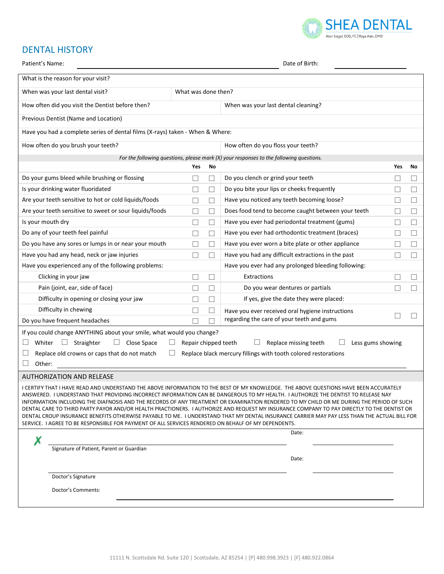

# DENTAL HISTORY

| Patient's Name:                                                                                     |                      |                | Date of Birth:                                                                                                                                                                                                                                                                         |     |        |  |  |  |
|-----------------------------------------------------------------------------------------------------|----------------------|----------------|----------------------------------------------------------------------------------------------------------------------------------------------------------------------------------------------------------------------------------------------------------------------------------------|-----|--------|--|--|--|
| What is the reason for your visit?                                                                  |                      |                |                                                                                                                                                                                                                                                                                        |     |        |  |  |  |
| When was your last dental visit?                                                                    | What was done then?  |                |                                                                                                                                                                                                                                                                                        |     |        |  |  |  |
| How often did you visit the Dentist before then?                                                    |                      |                | When was your last dental cleaning?                                                                                                                                                                                                                                                    |     |        |  |  |  |
| Previous Dentist (Name and Location)                                                                |                      |                |                                                                                                                                                                                                                                                                                        |     |        |  |  |  |
| Have you had a complete series of dental films (X-rays) taken - When & Where:                       |                      |                |                                                                                                                                                                                                                                                                                        |     |        |  |  |  |
| How often do you brush your teeth?                                                                  |                      |                | How often do you floss your teeth?                                                                                                                                                                                                                                                     |     |        |  |  |  |
|                                                                                                     |                      |                | For the following questions, please mark $(X)$ your responses to the following questions.                                                                                                                                                                                              |     |        |  |  |  |
|                                                                                                     | Yes                  | No             |                                                                                                                                                                                                                                                                                        | Yes | No.    |  |  |  |
| Do your gums bleed while brushing or flossing                                                       |                      | П              | Do you clench or grind your teeth                                                                                                                                                                                                                                                      |     | $\Box$ |  |  |  |
| Is your drinking water fluoridated                                                                  |                      | П              | Do you bite your lips or cheeks frequently                                                                                                                                                                                                                                             |     | П      |  |  |  |
| Are your teeth sensitive to hot or cold liquids/foods                                               |                      | $\Box$         | Have you noticed any teeth becoming loose?                                                                                                                                                                                                                                             |     | П      |  |  |  |
| Are your teeth sensitive to sweet or sour liquids/foods                                             |                      | П              | Does food tend to become caught between your teeth                                                                                                                                                                                                                                     |     | П      |  |  |  |
| Is your mouth dry                                                                                   |                      | $\mathbb{R}^n$ | Have you ever had periodontal treatment (gums)                                                                                                                                                                                                                                         |     | $\Box$ |  |  |  |
| Do any of your teeth feel painful                                                                   |                      | $\mathbf{L}$   | Have you ever had orthodontic treatment (braces)                                                                                                                                                                                                                                       |     |        |  |  |  |
| Do you have any sores or lumps in or near your mouth                                                |                      |                | Have you ever worn a bite plate or other appliance                                                                                                                                                                                                                                     |     |        |  |  |  |
| Have you had any head, neck or jaw injuries                                                         |                      |                | Have you had any difficult extractions in the past                                                                                                                                                                                                                                     |     |        |  |  |  |
| Have you experienced any of the following problems:                                                 |                      |                | Have you ever had any prolonged bleeding following:                                                                                                                                                                                                                                    |     |        |  |  |  |
| Clicking in your jaw                                                                                |                      | $\mathbf{L}$   | Extractions                                                                                                                                                                                                                                                                            |     |        |  |  |  |
| Pain (joint, ear, side of face)                                                                     |                      |                | Do you wear dentures or partials                                                                                                                                                                                                                                                       |     |        |  |  |  |
| Difficulty in opening or closing your jaw                                                           |                      |                | If yes, give the date they were placed:                                                                                                                                                                                                                                                |     |        |  |  |  |
| Difficulty in chewing                                                                               |                      |                | Have you ever received oral hygiene instructions                                                                                                                                                                                                                                       |     |        |  |  |  |
| Do you have frequent headaches                                                                      |                      |                | regarding the care of your teeth and gums                                                                                                                                                                                                                                              |     |        |  |  |  |
| If you could change ANYTHING about your smile, what would you change?                               |                      |                |                                                                                                                                                                                                                                                                                        |     |        |  |  |  |
| $\Box$ Straighter<br>$\Box$ Close Space<br>Whiter                                                   | Repair chipped teeth |                | Replace missing teeth<br>Less gums showing                                                                                                                                                                                                                                             |     |        |  |  |  |
| Replace old crowns or caps that do not match                                                        |                      |                | Replace black mercury fillings with tooth colored restorations                                                                                                                                                                                                                         |     |        |  |  |  |
| Other:                                                                                              |                      |                |                                                                                                                                                                                                                                                                                        |     |        |  |  |  |
| <b>AUTHORIZATION AND RELEASE</b>                                                                    |                      |                |                                                                                                                                                                                                                                                                                        |     |        |  |  |  |
|                                                                                                     |                      |                | I CERTIFY THAT I HAVE READ AND UNDERSTAND THE ABOVE INFORMATION TO THE BEST OF MY KNOWLEDGE. THE ABOVE QUESTIONS HAVE BEEN ACCURATELY                                                                                                                                                  |     |        |  |  |  |
|                                                                                                     |                      |                | ANSWERED. I UNDERSTAND THAT PROVIDING INCORRECT INFORMATION CAN BE DANGEROUS TO MY HEALTH. I AUTHORIZE THE DENTIST TO RELEASE NAY                                                                                                                                                      |     |        |  |  |  |
|                                                                                                     |                      |                | INFORMATION INCLUDING THE DIAFNOSIS AND THE RECORDS OF ANY TREATMENT OR EXAMINATION RENDERED TO MY CHILD OR ME DURING THE PERIOD OF SUCH<br>DENTAL CARE TO THIRD PARTY PAYOR AND/OR HEALTH PRACTIONERS. I AUTHORIZE AND REQUEST MY INSURANCE COMPANY TO PAY DIRECTLY TO THE DENTIST OR |     |        |  |  |  |
|                                                                                                     |                      |                | DENTAL CROUP INSURANCE BENEFITS OTHERWISE PAYABLE TO ME. I UNDERSTAND THAT MY DENTAL INSURANCE CARRIER MAY PAY LESS THAN THE ACTUAL BILL FOR                                                                                                                                           |     |        |  |  |  |
| SERVICE. I AGREE TO BE RESPONSIBLE FOR PAYMENT OF ALL SERVICES RENDERED ON BEHALF OF MY DEPENDENTS. |                      |                | Date:                                                                                                                                                                                                                                                                                  |     |        |  |  |  |
| х                                                                                                   |                      |                |                                                                                                                                                                                                                                                                                        |     |        |  |  |  |
| Signature of Patient, Parent or Guardian                                                            |                      |                |                                                                                                                                                                                                                                                                                        |     |        |  |  |  |
|                                                                                                     |                      |                | Date:                                                                                                                                                                                                                                                                                  |     |        |  |  |  |
| Doctor's Signature                                                                                  |                      |                |                                                                                                                                                                                                                                                                                        |     |        |  |  |  |
| Doctor's Comments:                                                                                  |                      |                |                                                                                                                                                                                                                                                                                        |     |        |  |  |  |
|                                                                                                     |                      |                |                                                                                                                                                                                                                                                                                        |     |        |  |  |  |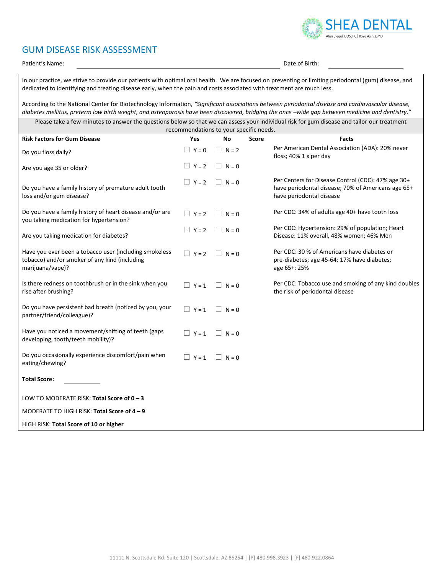

## GUM DISEASE RISK ASSESSMENT

Patient's Name: **Date of Birth:**  $\blacksquare$ 

In our practice, we strive to provide our patients with optimal oral health. We are focused on preventing or limiting periodontal (gum) disease, and dedicated to identifying and treating disease early, when the pain and costs associated with treatment are much less.

According to the National Center for Biotechnology Information, *"Significant associations between periodontal disease and cardiovascular disease,*  diabetes mellitus, preterm low birth weight, and osteoporosis have been discovered, bridging the once -wide gap between medicine and dentistry."

Please take a few minutes to answer the questions below so that we can assess your individual risk for gum disease and tailor our treatment recommendations to your specific needs.

| <b>Risk Factors for Gum Disease</b>                                                                                         | Yes          | No           | <b>Score</b> | Facts                                                                                                                                |
|-----------------------------------------------------------------------------------------------------------------------------|--------------|--------------|--------------|--------------------------------------------------------------------------------------------------------------------------------------|
| Do you floss daily?                                                                                                         | $Y = 0$      | $N = 2$      |              | Per American Dental Association (ADA): 20% never<br>floss; 40% 1 x per day                                                           |
| Are you age 35 or older?                                                                                                    | $\Box Y = 2$ | $\Box$ N = 0 |              |                                                                                                                                      |
| Do you have a family history of premature adult tooth<br>loss and/or gum disease?                                           | $\Box Y = 2$ | $\Box$ N = 0 |              | Per Centers for Disease Control (CDC): 47% age 30+<br>have periodontal disease; 70% of Americans age 65+<br>have periodontal disease |
| Do you have a family history of heart disease and/or are<br>you taking medication for hypertension?                         | $\Box Y = 2$ | $ N=0$       |              | Per CDC: 34% of adults age 40+ have tooth loss                                                                                       |
| Are you taking medication for diabetes?                                                                                     | $\Box Y = 2$ | $\Box$ N = 0 |              | Per CDC: Hypertension: 29% of population; Heart<br>Disease: 11% overall, 48% women; 46% Men                                          |
| Have you ever been a tobacco user (including smokeless<br>tobacco) and/or smoker of any kind (including<br>marijuana/vape)? | $\Box Y = 2$ | $N = 0$      |              | Per CDC: 30 % of Americans have diabetes or<br>pre-diabetes; age 45-64: 17% have diabetes;<br>age 65+: 25%                           |
| Is there redness on toothbrush or in the sink when you<br>rise after brushing?                                              | $\Box$ Y = 1 | $\Box$ N = 0 |              | Per CDC: Tobacco use and smoking of any kind doubles<br>the risk of periodontal disease                                              |
| Do you have persistent bad breath (noticed by you, your<br>partner/friend/colleague)?                                       | $\Box Y = 1$ | $\Box$ N = 0 |              |                                                                                                                                      |
| Have you noticed a movement/shifting of teeth (gaps<br>developing, tooth/teeth mobility)?                                   | $\Box$ Y = 1 | $\Box$ N = 0 |              |                                                                                                                                      |
| Do you occasionally experience discomfort/pain when<br>eating/chewing?                                                      | $\Box$ Y = 1 | $\Box$ N = 0 |              |                                                                                                                                      |
| <b>Total Score:</b>                                                                                                         |              |              |              |                                                                                                                                      |
| LOW TO MODERATE RISK: Total Score of 0 - 3                                                                                  |              |              |              |                                                                                                                                      |
| MODERATE TO HIGH RISK: Total Score of 4 - 9                                                                                 |              |              |              |                                                                                                                                      |
| HIGH RISK: Total Score of 10 or higher                                                                                      |              |              |              |                                                                                                                                      |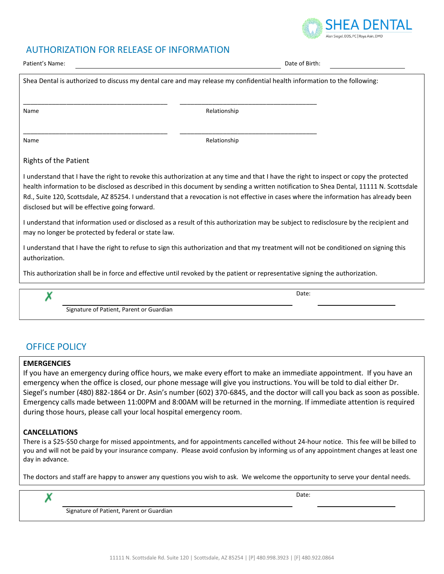### AUTHORIZATION FOR RELEASE OF INFORMATION

| Patient's Name:                                     | Date of Birth:                                                                                                                                                                                                                                                                                                                                                                                                            |
|-----------------------------------------------------|---------------------------------------------------------------------------------------------------------------------------------------------------------------------------------------------------------------------------------------------------------------------------------------------------------------------------------------------------------------------------------------------------------------------------|
|                                                     | Shea Dental is authorized to discuss my dental care and may release my confidential health information to the following:                                                                                                                                                                                                                                                                                                  |
| Name                                                | Relationship                                                                                                                                                                                                                                                                                                                                                                                                              |
| Name                                                | Relationship                                                                                                                                                                                                                                                                                                                                                                                                              |
| <b>Rights of the Patient</b>                        |                                                                                                                                                                                                                                                                                                                                                                                                                           |
| disclosed but will be effective going forward.      | I understand that I have the right to revoke this authorization at any time and that I have the right to inspect or copy the protected<br>health information to be disclosed as described in this document by sending a written notification to Shea Dental, 11111 N. Scottsdale<br>Rd., Suite 120, Scottsdale, AZ 85254. I understand that a revocation is not effective in cases where the information has already been |
| may no longer be protected by federal or state law. | I understand that information used or disclosed as a result of this authorization may be subject to redisclosure by the recipient and                                                                                                                                                                                                                                                                                     |
| authorization.                                      | I understand that I have the right to refuse to sign this authorization and that my treatment will not be conditioned on signing this                                                                                                                                                                                                                                                                                     |
|                                                     | This authorization shall be in force and effective until revoked by the patient or representative signing the authorization.                                                                                                                                                                                                                                                                                              |
|                                                     | Date:                                                                                                                                                                                                                                                                                                                                                                                                                     |
| Signature of Patient. Parent or Guardian            |                                                                                                                                                                                                                                                                                                                                                                                                                           |

# OFFICE POLICY

### **EMERGENCIES**

If you have an emergency during office hours, we make every effort to make an immediate appointment. If you have an emergency when the office is closed, our phone message will give you instructions. You will be told to dial either Dr. Siegel's number (480) 882-1864 or Dr. Asin's number (602) 370-6845, and the doctor will call you back as soon as possible. Emergency calls made between 11:00PM and 8:00AM will be returned in the morning. If immediate attention is required during those hours, please call your local hospital emergency room.

### **CANCELLATIONS**

Х

There is a \$25-\$50 charge for missed appointments, and for appointments cancelled without 24-hour notice. This fee will be billed to you and will not be paid by your insurance company. Please avoid confusion by informing us of any appointment changes at least one day in advance.

The doctors and staff are happy to answer any questions you wish to ask. We welcome the opportunity to serve your dental needs.

Date:

SHFA DFNTAI

**Man Siegel DDS PC I Rova Asin DMF** 

Signature of Patient, Parent or Guardian